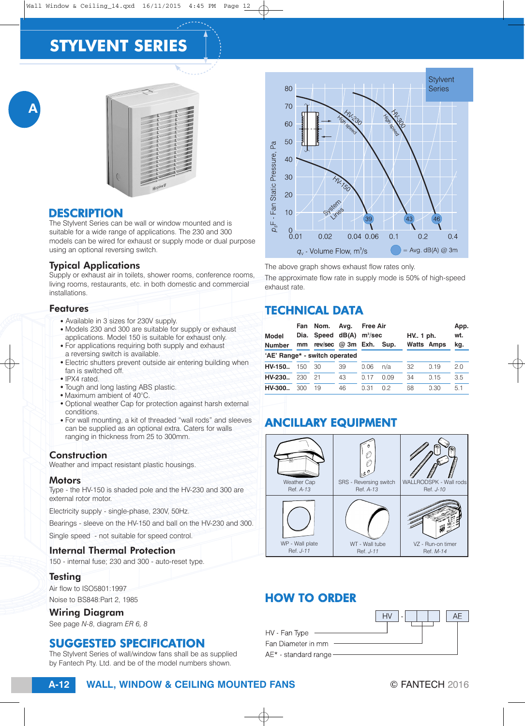# **STYLVENT SERIES**



## **DESCRIPTION**

A

The Stylvent Series can be wall or window mounted and is suitable for a wide range of applications. The 230 and 300 models can be wired for exhaust or supply mode or dual purpose using an optional reversing switch.

## Typical Applications

Supply or exhaust air in toilets, shower rooms, conference rooms, living rooms, restaurants, etc. in both domestic and commercial installations.

#### Features

- Available in 3 sizes for 230V supply.
- Models 230 and 300 are suitable for supply or exhaust applications. Model 150 is suitable for exhaust only.
- For applications requiring both supply and exhaust a reversing switch is available.
- Electric shutters prevent outside air entering building when fan is switched off.
- $\bullet$  IPX4 rated.
- Tough and long lasting ABS plastic.
- $\bullet$  Maximum ambient of 40 $^{\circ}$ C.
- Optional weather Cap for protection against harsh external conditions.
- For wall mounting, a kit of threaded "wall rods" and sleeves can be supplied as an optional extra. Caters for walls ranging in thickness from 25 to 300mm.

## Construction

Weather and impact resistant plastic housings.

### **Motors**

Type - the HV-150 is shaded pole and the HV-230 and 300 are external rotor motor.

Electricity supply - single-phase, 230V, 50Hz.

Bearings - sleeve on the HV-150 and ball on the HV-230 and 300.

Single speed - not suitable for speed control.

## Internal Thermal Protection

150 - internal fuse; 230 and 300 - auto-reset type.

## **Testing**

Air flow to ISO5801:1997

Noise to BS848:Part 2, 1985

## Wiring Diagram

See page *N-8*, diagram *ER 6, 8*

## SUGGESTED SPECIFICATION

The Stylvent Series of wall/window fans shall be as supplied by Fantech Pty. Ltd. and be of the model numbers shown.



The above graph shows exhaust flow rates only.

The approximate flow rate in supply mode is 50% of high-speed exhaust rate.

# TECHNICAL DATA

| Model<br><b>Number</b>        | Fan<br>Dia.<br>mm | Nom.<br>Speed $dB(A)$<br>rev/sec $@3m$ Exh. | Avg. | <b>Free Air</b><br>$m^3$ /sec | Sup. | HV. 1 ph. | <b>Watts Amps</b> | App.<br>wt.<br>kg. |
|-------------------------------|-------------------|---------------------------------------------|------|-------------------------------|------|-----------|-------------------|--------------------|
| 'AE' Range* - switch operated |                   |                                             |      |                               |      |           |                   |                    |
| HV-150                        | $150^{\circ}$     | 30                                          | 39   | 0.06                          | n/a  | 32        | 0.19              | 2.0                |
| HV-230                        | 230               | 21                                          | 43   | 0.17                          | 0.09 | 34        | 0.15              | 3.5                |
| HV-300.                       | 300               | 19                                          | 46   | O 31                          | 02   | 68        | 0.30              | 51                 |

# ANCILLARY EQUIPMENT



# HOW TO ORDER